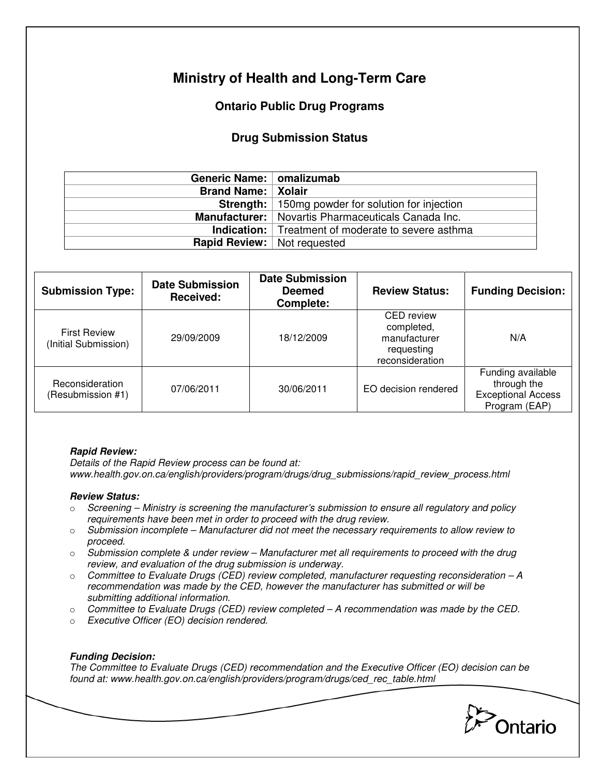# **Ministry of Health and Long-Term Care**

# **Ontario Public Drug Programs**

## **Drug Submission Status**

| Generic Name:   omalizumab           |                                                             |  |
|--------------------------------------|-------------------------------------------------------------|--|
| <b>Brand Name:   Xolair</b>          |                                                             |  |
|                                      | <b>Strength:</b>   150mg powder for solution for injection  |  |
|                                      | <b>Manufacturer:</b>   Novartis Pharmaceuticals Canada Inc. |  |
|                                      | <b>Indication:</b> Treatment of moderate to severe asthma   |  |
| <b>Rapid Review:</b>   Not requested |                                                             |  |

| <b>Submission Type:</b>                     | <b>Date Submission</b><br>Received: | <b>Date Submission</b><br><b>Deemed</b><br>Complete: | <b>Review Status:</b>                                                            | <b>Funding Decision:</b>                                                       |
|---------------------------------------------|-------------------------------------|------------------------------------------------------|----------------------------------------------------------------------------------|--------------------------------------------------------------------------------|
| <b>First Review</b><br>(Initial Submission) | 29/09/2009                          | 18/12/2009                                           | <b>CED</b> review<br>completed,<br>manufacturer<br>requesting<br>reconsideration | N/A                                                                            |
| Reconsideration<br>(Resubmission #1)        | 07/06/2011                          | 30/06/2011                                           | EO decision rendered                                                             | Funding available<br>through the<br><b>Exceptional Access</b><br>Program (EAP) |

#### **Rapid Review:**

Details of the Rapid Review process can be found at: www.health.gov.on.ca/english/providers/program/drugs/drug\_submissions/rapid\_review\_process.html

### **Review Status:**

- $\circ$  Screening Ministry is screening the manufacturer's submission to ensure all regulatory and policy requirements have been met in order to proceed with the drug review.
- $\circ$  Submission incomplete Manufacturer did not meet the necessary requirements to allow review to proceed.
- $\circ$  Submission complete & under review Manufacturer met all requirements to proceed with the drug review, and evaluation of the drug submission is underway.
- $\circ$  Committee to Evaluate Drugs (CED) review completed, manufacturer requesting reconsideration  $-A$ recommendation was made by the CED, however the manufacturer has submitted or will be submitting additional information.
- $\circ$  Committee to Evaluate Drugs (CED) review completed  $-A$  recommendation was made by the CED.
- o Executive Officer (EO) decision rendered.

### **Funding Decision:**

The Committee to Evaluate Drugs (CED) recommendation and the Executive Officer (EO) decision can be found at: www.health.gov.on.ca/english/providers/program/drugs/ced\_rec\_table.html